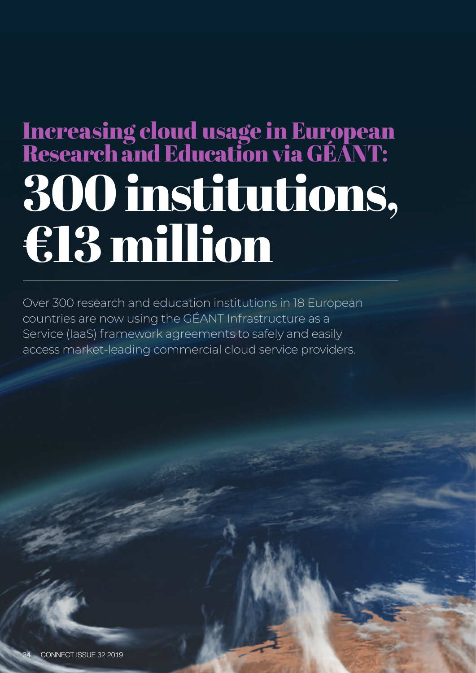## 300 institutions, €13 million Increasing cloud usage in European Research and Education via GÉANT:

Over 300 research and education institutions in 18 European countries are now using the GÉANT Infrastructure as a Service (IaaS) framework agreements to safely and easily access market-leading commercial cloud service providers.